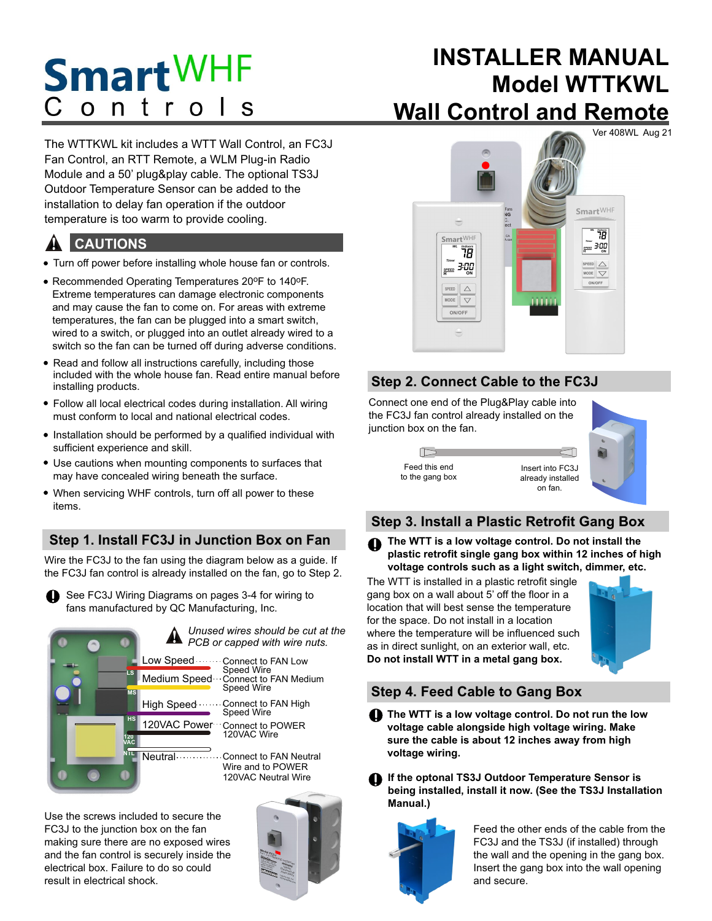# **Smart**WHF Control

The WTTKWL kit includes a WTT Wall Control, an FC3J Fan Control, an RTT Remote, a WLM Plug-in Radio Module and a 50' plug&play cable. The optional TS3J Outdoor Temperature Sensor can be added to the installation to delay fan operation if the outdoor temperature is too warm to provide cooling.

#### **CAUTIONS** !

- Turn off power before installing whole house fan or controls.
- Recommended Operating Temperatures 20°F to 140°F. Extreme temperatures can damage electronic components and may cause the fan to come on. For areas with extreme temperatures, the fan can be plugged into a smart switch, wired to a switch, or plugged into an outlet already wired to a switch so the fan can be turned off during adverse conditions.
- Read and follow all instructions carefully, including those included with the whole house fan. Read entire manual before installing products.
- Follow all local electrical codes during installation. All wiring must conform to local and national electrical codes.
- Installation should be performed by a qualified individual with sufficient experience and skill.
- Use cautions when mounting components to surfaces that may have concealed wiring beneath the surface.
- When servicing WHF controls, turn off all power to these items.

## **Step 1. Install FC3J in Junction Box on Fan**

Wire the FC3J to the fan using the diagram below as a guide. If the FC3J fan control is already installed on the fan, go to Step 2.

See FC3J Wiring Diagrams on pages 3-4 for wiring to fans manufactured by QC Manufacturing, Inc. **i**



*Unused wires should be cut at the PCB or capped with wire nuts.* !

> Connect to FAN Low Speed Wire Connect to FAN Medium Speed Wire

Connect to FAN High Speed Wire Connect to POWER 120VAC Wire

Connect to FAN Neutral Wire and to POWER 120VAC Neutral Wire

Use the screws included to secure the FC3J to the junction box on the fan making sure there are no exposed wires and the fan control is securely inside the electrical box. Failure to do so could result in electrical shock.



# **INSTALLER MANUAL Model WTTKWL Wall Control and Remote**



## **Step 2. Connect Cable to the FC3J**

Connect one end of the Plug&Play cable into the FC3J fan control already installed on the junction box on the fan.

> $\Box$ Feed this end to the gang box

 $\subset \sqcap$ Insert into FC3J already installed

## **Step 3. Install a Plastic Retrofit Gang Box**

**1** The WTT is a low voltage control. Do not install the **plastic retrofit single gang box within 12 inches of high voltage controls such as a light switch, dimmer, etc. i**

on fan.

The WTT is installed in a plastic retrofit single gang box on a wall about 5' off the floor in a location that will best sense the temperature for the space. Do not install in a location where the temperature will be influenced such as in direct sunlight, on an exterior wall, etc. **Do not install WTT in a metal gang box.** 



## **Step 4. Feed Cable to Gang Box**

**The WTT is a low voltage control. Do not run the low i voltage cable alongside high voltage wiring. Make sure the cable is about 12 inches away from high voltage wiring.**

**If the optonal TS3J Outdoor Temperature Sensor is i being installed, install it now. (See the TS3J Installation Manual.)** 



Feed the other ends of the cable from the FC3J and the TS3J (if installed) through the wall and the opening in the gang box. Insert the gang box into the wall opening and secure.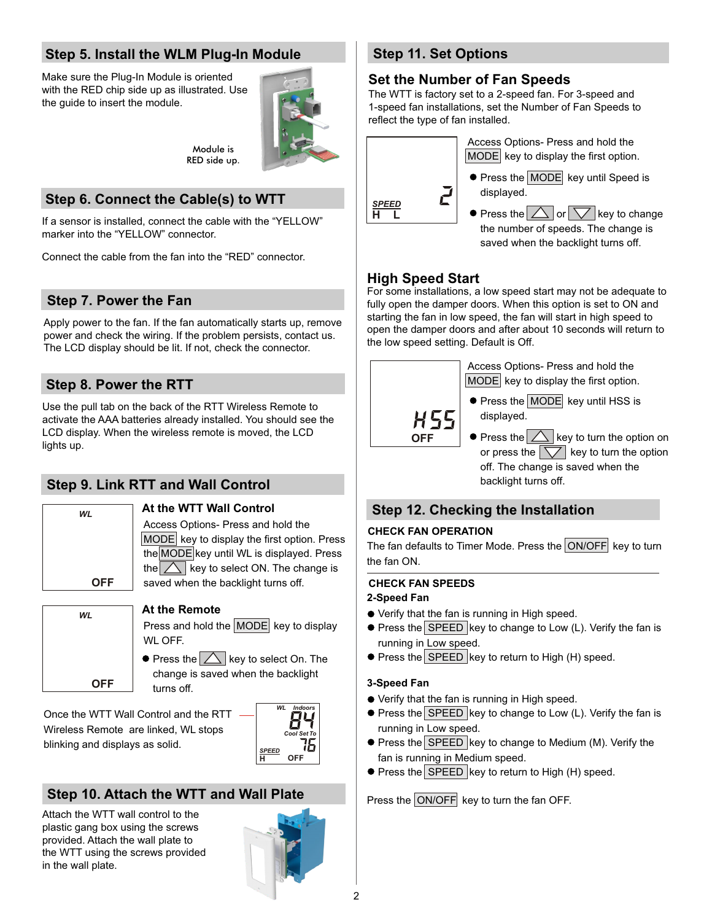## **Step 5. Install the WLM Plug-In Module**

Make sure the Plug-In Module is oriented with the RED chip side up as illustrated. Use the guide to insert the module.



Module is RED side up.

## **Step 6. Connect the Cable(s) to WTT**

If a sensor is installed, connect the cable with the "YELLOW" marker into the "YELLOW" connector.

Connect the cable from the fan into the "RED" connector.

## **Step 7. Power the Fan**

Apply power to the fan. If the fan automatically starts up, remove power and check the wiring. If the problem persists, contact us. The LCD display should be lit. If not, check the connector.

## **Step 8. Power the RTT**

Use the pull tab on the back of the RTT Wireless Remote to activate the AAA batteries already installed. You should see the LCD display. When the wireless remote is moved, the LCD lights up.

## **Step 9. Link RTT and Wall Control**



*WL*

**OFF**

#### **At the WTT Wall Control**

Access Options- Press and hold the  $MODE$  key to display the first option. Press the MODE key until WL is displayed. Press the  $\triangle$  key to select ON. The change is saved when the backlight turns off.

#### **At the Remote**

Press and hold the  $|MODE|$  key to display WL OFF.

 $\bullet$  Press the  $\triangle$  key to select On. The change is saved when the backlight turns off.

Once the WTT Wall Control and the RTT Wireless Remote are linked, WL stops blinking and displays as solid.



## **Step 10. Attach the WTT and Wall Plate**

Attach the WTT wall control to the plastic gang box using the screws provided. Attach the wall plate to the WTT using the screws provided in the wall plate.



## **Step 11. Set Options**

### **Set the Number of Fan Speeds**

The WTT is factory set to a 2-speed fan. For 3-speed and 1-speed fan installations, set the Number of Fan Speeds to reflect the type of fan installed.



- Access Options- Press and hold the  $|MODE|$  key to display the first option.
- $\bullet$  Press the MODE key until Speed is displayed.
- $\bullet$  Press the  $\triangle$  or  $\triangledown$  key to change the number of speeds. The change is saved when the backlight turns off.

## **High Speed Start**

For some installations, a low speed start may not be adequate to fully open the damper doors. When this option is set to ON and starting the fan in low speed, the fan will start in high speed to open the damper doors and after about 10 seconds will return to the low speed setting. Default is Off.



## **Step 12. Checking the Installation**

#### **CHECK FAN OPERATION**

The fan defaults to Timer Mode. Press the ON/OFF key to turn the fan ON.

backlight turns off.

#### **CHECK FAN SPEEDS**

#### **2-Speed Fan**

- Verify that the fan is running in High speed.
- **•** Press the SPEED key to change to Low (L). Verify the fan is running in Low speed.
- $\bullet$  Press the SPEED key to return to High (H) speed.

#### **3-Speed Fan**

- Verify that the fan is running in High speed.
- $\bullet$  Press the SPEED key to change to Low (L). Verify the fan is running in Low speed.
- $\bullet$  Press the SPEED key to change to Medium (M). Verify the fan is running in Medium speed.
- **•** Press the SPEED key to return to High (H) speed.

Press the ON/OFF key to turn the fan OFF.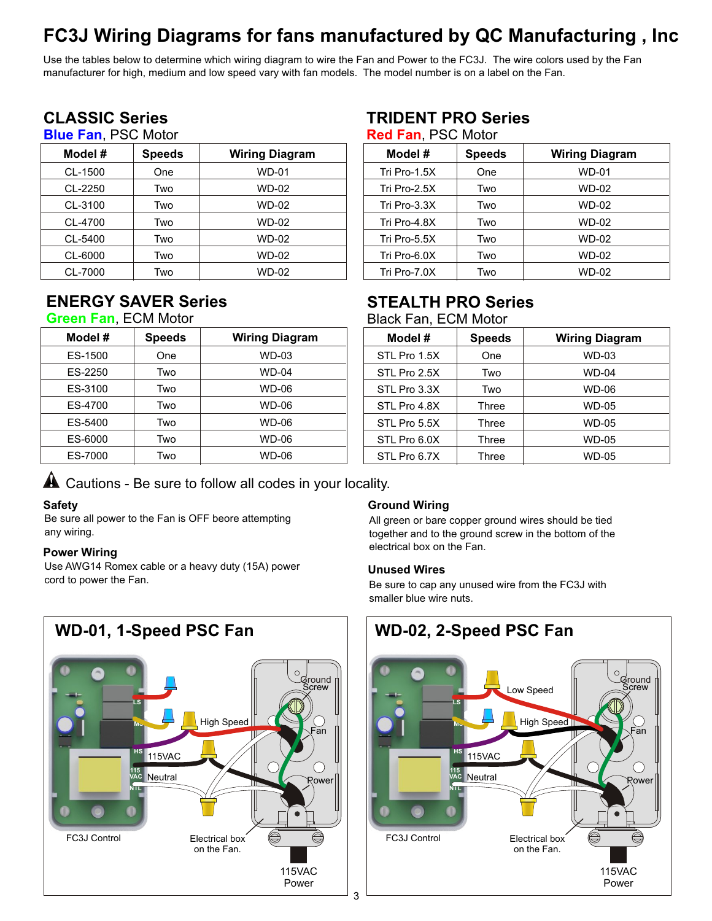# **FC3J Wiring Diagrams for fans manufactured by QC Manufacturing , Inc**

Use the tables below to determine which wiring diagram to wire the Fan and Power to the FC3J. The wire colors used by the Fan manufacturer for high, medium and low speed vary with fan models. The model number is on a label on the Fan.

## **CLASSIC Series**

## **Blue Fan**, PSC Motor

| Model # | <b>Speeds</b> | <b>Wiring Diagram</b> |
|---------|---------------|-----------------------|
| CL-1500 | One           | <b>WD-01</b>          |
| CL-2250 | Two           | WD-02                 |
| CL-3100 | Two           | WD-02                 |
| CL-4700 | Two           | WD-02                 |
| CL-5400 | Two           | WD-02                 |
| CL-6000 | Two           | WD-02                 |
| CL-7000 | Two           | <b>WD-02</b>          |

# **ENERGY SAVER Series**

#### **Green Fan**, ECM Motor

| Model # | <b>Speeds</b> | <b>Wiring Diagram</b> |
|---------|---------------|-----------------------|
| ES-1500 | One           | <b>WD-03</b>          |
| ES-2250 | Two           | WD-04                 |
| ES-3100 | Two           | WD-06                 |
| ES-4700 | Two           | WD-06                 |
| ES-5400 | Two           | WD-06                 |
| ES-6000 | Two           | WD-06                 |
| ES-7000 | Two           | WD-06                 |

#### **TRIDENT PRO Series Red Fan**, PSC Motor

| N            |               |                       |  |  |
|--------------|---------------|-----------------------|--|--|
| Model #      | <b>Speeds</b> | <b>Wiring Diagram</b> |  |  |
| Tri Pro-1.5X | One           | <b>WD-01</b>          |  |  |
| Tri Pro-2.5X | Two           | <b>WD-02</b>          |  |  |
| Tri Pro-3.3X | Two           | <b>WD-02</b>          |  |  |
| Tri Pro-4.8X | Two           | <b>WD-02</b>          |  |  |
| Tri Pro-5.5X | Two           | <b>WD-02</b>          |  |  |
| Tri Pro-6.0X | Two           | <b>WD-02</b>          |  |  |
| Tri Pro-7.0X | Two           | <b>WD-02</b>          |  |  |
|              |               |                       |  |  |

# **STEALTH PRO Series**

Black Fan, ECM Motor

| Model #      | <b>Speeds</b> | <b>Wiring Diagram</b> |
|--------------|---------------|-----------------------|
| STL Pro 1.5X | One           | WD-03                 |
| STL Pro 2.5X | Two           | WD-04                 |
| STL Pro 3.3X | Two           | WD-06                 |
| STL Pro 4.8X | Three         | WD-05                 |
| STL Pro 5.5X | Three         | WD-05                 |
| STL Pro 6.0X | Three         | WD-05                 |
| STL Pro 6.7X | Three         | WD-05                 |

## $\blacktriangle$  Cautions - Be sure to follow all codes in your locality.

#### **Safety**

Be sure all power to the Fan is OFF beore attempting any wiring.

#### **Power Wiring**

Use AWG14 Romex cable or a heavy duty (15A) power cord to power the Fan.

#### **Ground Wiring**

All green or bare copper ground wires should be tied together and to the ground screw in the bottom of the electrical box on the Fan.

#### **Unused Wires**

Be sure to cap any unused wire from the FC3J with smaller blue wire nuts.